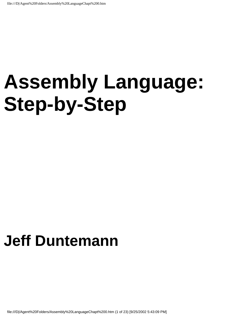# **Assembly Language: Step-by-Step**

**Jeff Duntemann**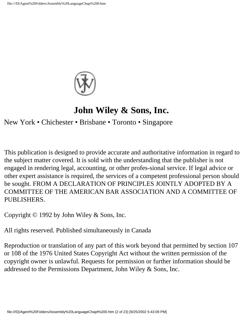

### **John Wiley & Sons, Inc.**

#### New York • Chichester • Brisbane • Toronto • Singapore

This publication is designed to provide accurate and authoritative information in regard to the subject matter covered. It is sold with the understanding that the publisher is not engaged in rendering legal, accounting, or other profes-sional service. If legal advice or other expert assistance is required, the services of a competent professional person should be sought. FROM A DECLARATION OF PRINCIPLES JOINTLY ADOPTED BY A COMMITTEE OF THE AMERICAN BAR ASSOCIATION AND A COMMITTEE OF PUBLISHERS.

Copyright © 1992 by John Wiley & Sons, Inc.

All rights reserved. Published simultaneously in Canada

Reproduction or translation of any part of this work beyond that permitted by section 107 or 108 of the 1976 United States Copyright Act without the written permission of the copyright owner is unlawful. Requests for permission or further information should be addressed to the Permissions Department, John Wiley & Sons, Inc.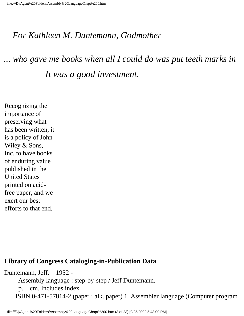#### *For Kathleen M. Duntemann, Godmother*

## *... who gave me books when all I could do was put teeth marks in It was a good investment.*

Recognizing the importance of preserving what has been written, it is a policy of John Wiley & Sons, Inc. to have books of enduring value published in the United States printed on acidfree paper, and we exert our best efforts to that end.

#### **Library of Congress Cataloging-in-Publication Data**

Duntemann, Jeff. 1952 - Assembly language : step-by-step / Jeff Duntemann. p. cm. Includes index. ISBN 0-471-57814-2 (paper : alk. paper) 1. Assembler language (Computer program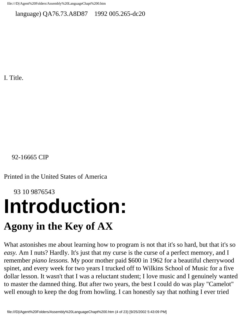language) QA76.73.A8D87 1992 005.265-dc20

I. Title.

92-16665 CIP

Printed in the United States of America

93 10 9876543

# **Introduction: Agony in the Key of AX**

What astonishes me about learning how to program is not that it's so hard, but that it's so *easy.* Am I nuts? Hardly. It's just that my curse is the curse of a perfect memory, and I remember *piano lessons.* My poor mother paid \$600 in 1962 for a beautiful cherrywood spinet, and every week for two years I trucked off to Wilkins School of Music for a five dollar lesson. It wasn't that I was a reluctant student; I love music and I genuinely wanted to master the damned thing. But after two years, the best I could do was play "Camelot" well enough to keep the dog from howling. I can honestly say that nothing I ever tried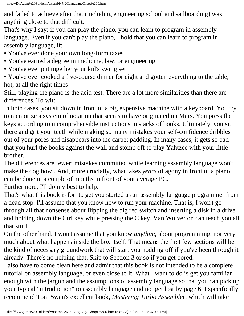and failed to achieve after that (including engineering school and sailboarding) was anything close to that difficult.

That's why I say: if you can play the piano, you can learn to program in assembly language. Even if you can't play the piano, I hold that you can learn to program in assembly language, if:

- You've ever done your own long-form taxes
- You've earned a degree in medicine, law, or engineering
- You've ever put together your kid's swing set

• You've ever cooked a five-course dinner for eight and gotten everything to the table, hot, at all the right times

Still, playing the piano is the acid test. There are a lot more similarities than there are differences. To wit:

In both cases, you sit down in front of a big expensive machine with a keyboard. You try to memorize a system of notation that seems to have originated on Mars. You press the keys according to incomprehensible instructions in stacks of books. Ultimately, you sit there and grit your teeth while making so many mistakes your self-confidence dribbles out of your pores and disappears into the carpet padding. In many cases, it gets so bad that you hurl the books against the wall and stomp off to play Yahtzee with your little brother.

The differences are fewer: mistakes committed while learning assembly language won't make the dog howl. And, more crucially, what takes *years* of agony in front of a piano can be done in a couple of months in front of your average PC.

Furthermore, I'll do my best to help.

That's what this book is for: to get you started as an assembly-language programmer from a dead stop. I'll assume that you know how to run your machine. That is, I won't go through all that nonsense about flipping the big red switch and inserting a disk in a drive and holding down the Ctrl key while pressing the C key. Van Wolverton can teach you all that stuff.

On the other hand, I won't assume that you know *anything* about programming, nor very much about what happens inside the box itself. That means the first few sections will be the kind of necessary groundwork that will start you nodding off if you've been through it already. There's no helping that. Skip to Section 3 or so if you get bored.

I also have to come clean here and admit that this book is not intended to be a complete tutorial on assembly language, or even close to it. What I want to do is get you familiar enough with the jargon and the assumptions of assembly language so that you can pick up your typical "introduction" to assembly language and not get lost by page 6. I specifically recommend Tom Swan's excellent book, *Mastering Turbo Assembler,* which will take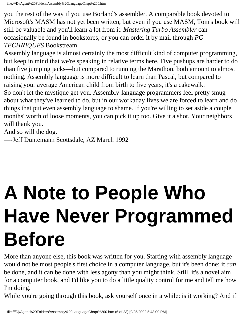you the rest of the way if you use Borland's assembler. A comparable book devoted to Microsoft's MASM has not yet been written, but even if you use MASM, Tom's book will still be valuable and you'll learn a lot from it. *Mastering Turbo Assembler* can occasionally be found in bookstores, or you can order it by mail through *PC TECHNIQUES* Bookstream.

Assembly language is almost certainly the most difficult kind of computer programming, but keep in mind that we're speaking in relative terms here. Five pushups are harder to do than five jumping jacks—but compared to running the Marathon, both amount to almost nothing. Assembly language is more difficult to learn than Pascal, but compared to raising your average American child from birth to five years, it's a cakewalk. So don't let the mystique get you. Assembly-language programmers feel pretty smug about what they've learned to do, but in our workaday lives we are forced to learn and do things that put even assembly language to shame. If you're willing to set aside a couple months' worth of loose moments, you can pick it up too. Give it a shot. Your neighbors will thank you.

And so will the dog.

—-Jeff Duntemann Scottsdale, AZ March 1992

# **A Note to People Who Have Never Programmed Before**

More than anyone else, this book was written for you. Starting with assembly language would not be most people's first choice in a computer language, but it's been done; it *can*  be done, and it can be done with less agony than you might think. Still, it's a novel aim for a computer book, and I'd like you to do a little quality control for me and tell me how I'm doing.

While you're going through this book, ask yourself once in a while: is it working? And if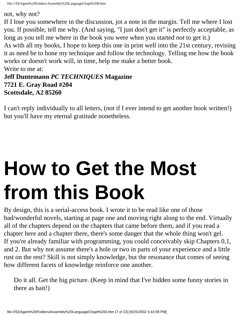not, why not?

If I lose you somewhere in the discussion, jot a note in the margin. Tell me where I lost you. If possible, tell me why. (And saying, "I just don't get it" is perfectly acceptable, as long as you tell me where in the book you were when you started *not* to get it.) As with all my books, I hope to keep this one in print well into the 21st century, revising it as need be to hone my technique and follow the technology. Telling me how the book works or doesn't work will, in time, help me make a better book. Write to me at:

**Jeff Duntemann** *PC TECHNIQUES* **Magazine 7721 E. Gray Road #204 Scottsdale, A2 85260**

I can't reply individually to all letters, (not if I ever intend to get another book written!) but you'll have my eternal gratitude nonetheless.

# **How to Get the Most from this Book**

By design, this is a serial-access book. I wrote it to be read like one of those bad/wonderful novels, starting at page one and moving right along to the end. Virtually all of the chapters depend on the chapters that came before them, and if you read a chapter here and a chapter there, there's some danger that the whole thing won't gel. If you're already familiar with programming, you could conceivably skip Chapters 0,1, and 2. But why not assume there's a hole or two in parts of your experience and a little rust on the rest? Skill is not simply knowledge, but the resonance that comes of seeing how different facets of knowledge reinforce one another.

Do it all. Get the big picture. (Keep in mind that I've hidden some funny stories in there as bait!)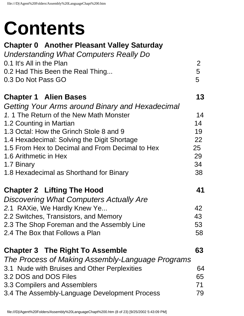# **Contents**

| <b>Chapter 0 Another Pleasant Valley Saturday</b><br><b>Understanding What Computers Really Do</b> |                |
|----------------------------------------------------------------------------------------------------|----------------|
| 0.1 It's All in the Plan                                                                           | $\overline{2}$ |
| 0.2 Had This Been the Real Thing                                                                   | 5              |
| 0.3 Do Not Pass GO                                                                                 | 5              |
| <b>Chapter 1 Alien Bases</b>                                                                       | 13             |
| Getting Your Arms around Binary and Hexadecimal                                                    |                |
| 1. 1 The Return of the New Math Monster                                                            | 14             |
| 1.2 Counting in Martian                                                                            | 14             |
| 1.3 Octal: How the Grinch Stole 8 and 9                                                            | 19             |
| 1.4 Hexadecimal: Solving the Digit Shortage                                                        | 22             |
| 1.5 From Hex to Decimal and From Decimal to Hex                                                    | 25             |
| 1.6 Arithmetic in Hex                                                                              | 29             |
| 1.7 Binary                                                                                         | 34             |
| 1.8 Hexadecimal as Shorthand for Binary                                                            | 38             |
| <b>Chapter 2 Lifting The Hood</b>                                                                  | 41             |
| <b>Discovering What Computers Actually Are</b>                                                     |                |
| 2.1 RAXie, We Hardly Knew Ye                                                                       | 42             |
| 2.2 Switches, Transistors, and Memory                                                              | 43             |
| 2.3 The Shop Foreman and the Assembly Line                                                         | 53             |
| 2.4 The Box that Follows a Plan                                                                    | 58             |
| <b>Chapter 3 The Right To Assemble</b>                                                             | 63             |
| The Process of Making Assembly-Language Programs                                                   |                |
| 3.1 Nude with Bruises and Other Perplexities                                                       | 64             |
| 3.2 DOS and DOS Files                                                                              | 65             |
| 3.3 Compilers and Assemblers                                                                       | 71             |
| 3.4 The Assembly-Language Development Process                                                      | 79             |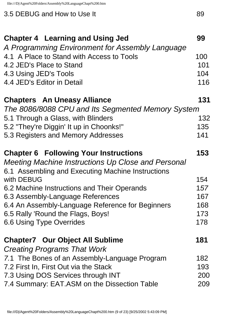| <b>Chapter 4 Learning and Using Jed</b><br>A Programming Environment for Assembly Language | 99         |
|--------------------------------------------------------------------------------------------|------------|
| 4.1 A Place to Stand with Access to Tools                                                  | 100        |
| 4.2 JED's Place to Stand                                                                   | 101        |
| 4.3 Using JED's Tools                                                                      | 104        |
| 4.4 JED's Editor in Detail                                                                 | 116        |
| <b>Chapters</b> An Uneasy Alliance                                                         | 131        |
| The 8086/8088 CPU and Its Segmented Memory System                                          |            |
| 5.1 Through a Glass, with Blinders                                                         | 132        |
| 5.2 "They're Diggin' It up in Choonks!"                                                    | 135        |
| 5.3 Registers and Memory Addresses                                                         | 141        |
| <b>Chapter 6 Following Your Instructions</b>                                               | 153        |
| <b>Meeting Machine Instructions Up Close and Personal</b>                                  |            |
| 6.1 Assembling and Executing Machine Instructions                                          |            |
| with DEBUG                                                                                 | 154        |
| 6.2 Machine Instructions and Their Operands                                                | 157        |
| 6.3 Assembly-Language References                                                           | 167        |
| 6.4 An Assembly-Language Reference for Beginners                                           | 168        |
| 6.5 Rally 'Round the Flags, Boys!                                                          | 173        |
| 6.6 Using Type Overrides                                                                   | 178        |
| <b>Chapter7</b> Our Object All Sublime                                                     | 181        |
| <b>Creating Programs That Work</b>                                                         |            |
| 7.1 The Bones of an Assembly-Language Program                                              | 182<br>193 |
| 7.2 First In, First Out via the Stack                                                      | 200        |
| 7.3 Using DOS Services through INT                                                         | 209        |
| 7.4 Summary: EAT.ASM on the Dissection Table                                               |            |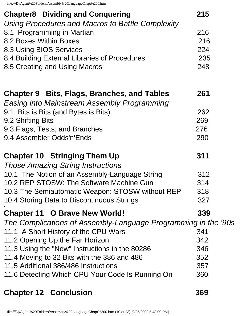| <b>Chapter8 Dividing and Conquering</b><br><b>Using Procedures and Macros to Battle Complexity</b> | 215        |
|----------------------------------------------------------------------------------------------------|------------|
| 8.1 Programming in Martian                                                                         | 216        |
| 8.2 Boxes Within Boxes                                                                             | 216        |
| 8.3 Using BIOS Services                                                                            | 224        |
| 8.4 Building External Libraries of Procedures                                                      | 235        |
| 8.5 Creating and Using Macros                                                                      | 248        |
| <b>Chapter 9 Bits, Flags, Branches, and Tables</b>                                                 | 261        |
| <b>Easing into Mainstream Assembly Programming</b>                                                 |            |
| 9.1 Bits is Bits (and Bytes is Bits)                                                               | 262        |
| 9.2 Shifting Bits                                                                                  | 269        |
| 9.3 Flags, Tests, and Branches                                                                     | 276        |
| 9.4 Assembler Odds'n'Ends                                                                          | 290        |
| <b>Chapter 10 Stringing Them Up</b><br><b>Those Amazing String Instructions</b>                    | 311        |
| 10.1 The Notion of an Assembly-Language String                                                     | 312        |
| 10.2 REP STOSW: The Software Machine Gun                                                           | 314        |
| 10.3 The Semiautomatic Weapon: STOSW without REP                                                   | 318        |
| 10.4 Storing Data to Discontinuous Strings                                                         | 327        |
| <b>Chapter 11 O Brave New World!</b>                                                               | 339        |
| The Complications of Assembly-Language Programming in the '90s                                     |            |
| 11.1 A Short History of the CPU Wars                                                               | 341        |
| 11.2 Opening Up the Far Horizon                                                                    | 342        |
| 11.3 Using the "New" Instructions in the 80286                                                     | 346<br>352 |
| 11.4 Moving to 32 Bits with the 386 and 486<br>11.5 Additional 386/486 Instructions                | 357        |
| 11.6 Detecting Which CPU Your Code Is Running On                                                   | 360        |
|                                                                                                    |            |

### **Chapter 12 Conclusion 369**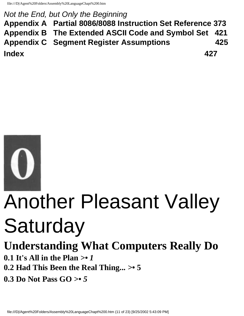|              | Not the End, but Only the Beginning                        |     |
|--------------|------------------------------------------------------------|-----|
|              | Appendix A Partial 8086/8088 Instruction Set Reference 373 |     |
|              | Appendix B The Extended ASCII Code and Symbol Set 421      |     |
|              | <b>Appendix C</b> Segment Register Assumptions             | 425 |
| <b>Index</b> |                                                            | 427 |



# Another Pleasant Valley **Saturday**

# **Understanding What Computers Really Do**

**0.1 It's All in the Plan** *>• 1* **0.2 Had This Been the Real Thing...** *>•* **5 0.3 Do Not Pass GO** *>• 5*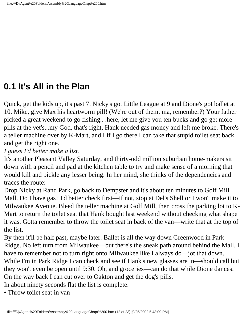### **0.1 It's All in the Plan**

Quick, get the kids up, it's past 7. Nicky's got Little League at 9 and Dione's got ballet at 10. Mike, give Max his heartworm pill! (We're out of them, ma, remember?) Your father picked a great weekend to go fishing.. .here, let me give you ten bucks and go get more pills at the vet's...my God, that's right, Hank needed gas money and left me broke. There's a teller machine over by K-Mart, and I if I go there I can take that stupid toilet seat back and get the right one.

*I guess I'd better make a list.*

It's another Pleasant Valley Saturday, and thirty-odd million suburban home-makers sit down with a pencil and pad at the kitchen table to try and make sense of a morning that would kill and pickle any lesser being. In her mind, she thinks of the dependencies and traces the route:

Drop Nicky at Rand Park, go back to Dempster and it's about ten minutes to Golf Mill Mall. Do I have gas? I'd better check first—if not, stop at Del's Shell or I won't make it to Milwaukee Avenue. Bleed the teller machine at Golf Mill, then cross the parking lot to K-Mart to return the toilet seat that Hank bought last weekend without checking what shape it was. Gotta remember to throw the toilet seat in back of the van—write that at the top of the list.

By then it'll be half past, maybe later. Ballet is all the way down Greenwood in Park Ridge. No left turn from Milwaukee—but there's the sneak path around behind the Mall. I have to remember not to turn right onto Milwaukee like I always do—jot that down. While I'm in Park Ridge I can check and see if Hank's new glasses are in—should call but they won't even be open until 9:30. Oh, and groceries—can do that while Dione dances. On the way back I can cut over to Oakton and get the dog's pills. In about ninety seconds flat the list is complete:

• Throw toilet seat in van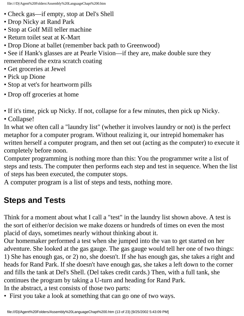- Check gas—if empty, stop at Del's Shell
- Drop Nicky at Rand Park
- Stop at Golf Mill teller machine
- Return toilet seat at K-Mart
- Drop Dione at ballet (remember back path to Greenwood)
- See if Hank's glasses are at Pearle Vision—if they are, make double sure they remembered the extra scratch coating
- Get groceries at Jewel
- Pick up Dione
- Stop at vet's for heartworm pills
- Drop off groceries at home
- If it's time, pick up Nicky. If not, collapse for a few minutes, then pick up Nicky.
- Collapse!

In what we often call a "laundry list" (whether it involves laundry or not) is the perfect metaphor for a computer program. Without realizing it, our intrepid homemaker has written herself a computer program, and then set out (acting as the computer) to execute it completely before noon.

Computer programming is nothing more than this: You the programmer write a list of steps and tests. The computer then performs each step and test in sequence. When the list of steps has been executed, the computer stops.

A computer program is a list of steps and tests, nothing more.

## **Steps and Tests**

Think for a moment about what I call a "test" in the laundry list shown above. A test is the sort of either/or decision we make dozens or hundreds of times on even the most placid of days, sometimes nearly without thinking about it.

Our homemaker performed a test when she jumped into the van to get started on her adventure. She looked at the gas gauge. The gas gauge would tell her one of two things: 1) She has enough gas, or 2) no, she doesn't. If she has enough gas, she takes a right and heads for Rand Park. If she doesn't have enough gas, she takes a left down to the corner and fills the tank at Del's Shell. (Del takes credit cards.) Then, with a full tank, she continues the program by taking a U-turn and heading for Rand Park.

In the abstract, a test consists of those two parts:

• First you take a look at something that can go one of two ways.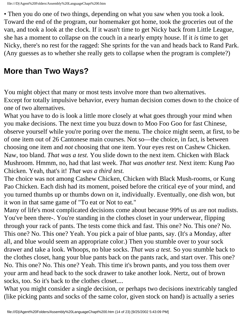• Then you do one of two things, depending on what you saw when you took a look. Toward the end of the program, our homemaker got home, took the groceries out of the van, and took a look at the clock. If it wasn't time to get Nicky back from Little League, she has a moment to collapse on the couch in a nearly empty house. If it *is* time to get Nicky, there's no rest for the ragged: She sprints for the van and heads back to Rand Park. (Any guesses as to whether she really gets to collapse when the program is complete?)

#### **More than Two Ways?**

You might object that many or most tests involve more than two alternatives. Except for totally impulsive behavior, every human decision comes down to the choice of one of two alternatives.

What you have to do is look a little more closely at what goes through your mind when you make decisions. The next time you buzz down to Moo Foo Goo for fast Chinese, observe yourself while you're poring over the menu. The choice might seem, at first, to be of one item out of 26 Cantonese main courses. Not so—the choice, in fact, is between choosing one item and *not* choosing that one item. Your eyes rest on Cashew Chicken. Naw, too bland. *That was a test.* You slide down to the next item. Chicken with Black Mushroom. Hmmm, no, had that last week. *That was another test.* Next item: Kung Pao Chicken. Yeah, that's it! *That was a third test.*

The choice was not among Cashew Chicken, Chicken with Black Mush-rooms, or Kung Pao Chicken. Each dish had its moment, poised before the critical eye of your mind, and you turned thumbs up or thumbs down on it, individually. Eventually, one dish won, but it won in that same game of "To eat or Not to eat."

Many of life's most complicated decisions come about because 99% of us are not nudists. You've been there-. You're standing in the clothes closet in your underwear, flipping through your rack of pants. The tests come thick and fast. This one? No. This one? No. This one? No. This one? Yeah. You pick a pair of blue pants, say. (It's a Monday, after all, and blue would seem an appropriate color.) Then you stumble over to your sock drawer and take a look. Whoops, no blue socks. *That was a test.* So you stumble back to the clothes closet, hang your blue pants back on the pants rack, and start over. This one? No. This one? No. This one? Yeah. This time it's brown pants, and you toss them over your arm and head back to the sock drawer to take another look. Nertz, out of brown socks, too. So it's back to the clothes closet....

What you might consider a single decision, or perhaps two decisions inextricably tangled (like picking pants and socks of the same color, given stock on hand) is actually a series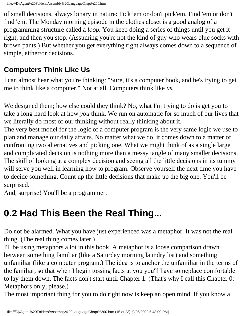of small decisions, always binary in nature: Pick 'em or don't pick'em. Find 'em or don't find 'em. The Monday morning episode in the clothes closet is a good analog of a programming structure called a *loop.* You keep doing a series of things until you get it right, and then you stop. (Assuming you're not the kind of guy who wears blue socks with brown pants.) But whether you get everything right always comes down to a sequence of simple, either/or decisions.

#### **Computers Think Like Us**

I can almost hear what you're thinking: "Sure, it's a computer book, and he's trying to get me to think like a computer." Not at all. Computers think like *us.*

We designed them; how else could they think? No, what I'm trying to do is get you to take a long hard look at how *you* think. We run on automatic for so much of our lives that we literally do most of our thinking without really thinking about it.

The very best model for the logic of a computer program is the very same logic we use to plan and manage our daily affairs. No matter what we do, it comes down to a matter of confronting two alternatives and picking one. What we might think of as a single large and complicated decision is nothing more than a messy tangle of many smaller decisions. The skill of looking at a complex decision and seeing all the little decisions in its tummy will serve you well in learning how to program. Observe yourself the next time you have to decide something. Count up the little decisions that make up the big one. You'll be surprised.

And, surprise! You'll be a programmer.

## **0.2 Had This Been the Real Thing...**

Do not be alarmed. What you have just experienced was a metaphor. It was not the real thing. (The real thing comes later.)

I'll be using metaphors a lot in this book. A metaphor is a loose comparison drawn between something familiar (like a Saturday morning laundry list) and something unfamiliar (like a computer program.) The idea is to anchor the unfamiliar in the terms of the familiar, so that when I begin tossing facts at you you'll have someplace comfortable to lay them down. The facts don't start until Chapter 1. (That's why I call this Chapter 0: Metaphors only, please.)

The most important thing for you to do right now is keep an open mind. If you know a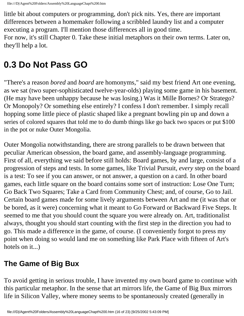little bit about computers or programming, don't pick nits. Yes, there are important differences between a homemaker following a scribbled laundry list and a computer executing a program. I'll mention those differences all in good time. For now, it's still Chapter 0. Take these initial metaphors on their own terms. Later on, they'll help a lot.

### **0.3 Do Not Pass GO**

"There's a reason *bored* and *board* are homonyms," said my best friend Art one evening, as we sat (two super-sophisticated twelve-year-olds) playing some game in his basement. (He may have been unhappy because he was losing.) Was it Mille Bornes? Or Stratego? Or Monopoly? Or something else entirely? I confess I don't remember. I simply recall hopping some little piece of plastic shaped like a pregnant bowling pin up and down a series of colored squares that told me to do dumb things like go back two spaces or put \$100 in the pot or nuke Outer Mongolia.

Outer Mongolia notwithstanding, there are strong parallels to be drawn between that peculiar American obsession, the board game, and assembly-language programming. First of all, everything we said before still holds: Board games, by and large, consist of a progression of steps and tests. In some games, like Trivial Pursuit, *every* step on the board is a test: To see if you can answer, or not answer, a question on a card. In other board games, each little square on the board contains some sort of instruction: Lose One Turn; Go Back Two Squares; Take a Card from Community Chest; and, of course, Go to Jail. Certain board games made for some lively arguments between Art and me (it was that or be bored, as it were) concerning what it meant to Go Forward or Backward Five Steps. It seemed to me that you should count the square you were already on. Art, traditionalist always, thought you should start counting with the first step in the direction you had to go. This made a difference in the game, of course. (I conveniently forgot to press my point when doing so would land me on something like Park Place with fifteen of Art's hotels on it...)

#### **The Game of Big Bux**

To avoid getting in serious trouble, I have invented my own board game to continue with this particular metaphor. In the sense that art mirrors life, the Game of Big Bux mirrors life in Silicon Valley, where money seems to be spontaneously created (generally in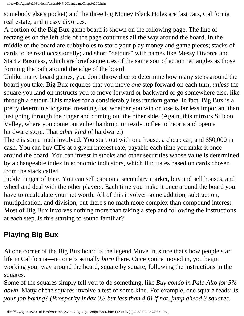somebody else's pocket) and the three big Money Black Holes are fast cars, California real estate, and messy divorces.

A portion of the Big Bux game board is shown on the following page. The line of rectangles on the left side of the page continues all the way around the board. In the middle of the board are cubbyholes to store your play money and game pieces; stacks of cards to be read occasionally; and short "detours" with names like Messy Divorce and Start a Business, which are brief sequences of the same sort of action rectangles as those forming the path around the edge of the board.

Unlike many board games, you don't throw dice to determine how many steps around the board you take. Big Bux requires that you move *one* step forward on each turn, *unless* the square you land on instructs you to move forward or backward or go somewhere else, like through a detour. This makes for a considerably less random game. In fact, Big Bux is a pretty deterministic game, meaning that whether you win or lose is far less important than just going through the ringer and coming out the other side. (Again, this mirrors Silicon Valley, where you come out either bankrupt or ready to flee to Peoria and open a hardware store. That *other kind* of hardware.)

There is some math involved. You start out with one house, a cheap car, and \$50,000 in cash. You can buy CDs at a given interest rate, payable each time you make it once around the board. You can invest in stocks and other securities whose value is determined by a changeable index in economic indicators, which fluctuates based on cards chosen from the stack called

Fickle Finger of Fate. You can sell cars on a secondary market, buy and sell houses, and wheel and deal with the other players. Each time you make it once around the board you have to recalculate your net worth. All of this involves some addition, subtraction, multiplication, and division, but there's no math more complex than compound interest. Most of Big Bux involves nothing more than taking a step and following the instructions at each step. Is this starting to sound familiar?

#### **Playing Big Bux**

At one corner of the Big Bux board is the legend Move In, since that's how people start life in California—no one is actually *born* there. Once you're moved in, you begin working your way around the board, square by square, following the instructions in the squares.

Some of the squares simply tell you to do something, like *Buy condo in Palo Alto for 5% down.* Many of the squares involve a test of some kind. For example, one square reads: *Is your job boring? (Prosperity Index 0.3 but less than 4.0) If not, jump ahead 3 squares.*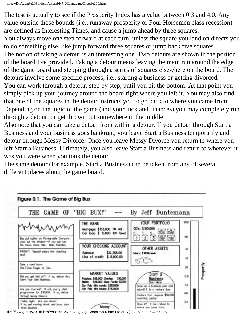The test is actually to see if the Prosperity Index has a value between 0.3 and 4.0. Any value outside those bounds (i.e., runaway prosperity or Four Horsemen class recession) are defined as Interesting Times, and cause a jump ahead by three squares. You always move one step forward at each turn, unless the square you land on directs you to do something else, like jump forward three squares or jump back five squares. The notion of taking a detour is an interesting one. Two detours are shown in the portion of the board I've provided. Taking a detour means leaving the main run around the edge of the game board and stepping through a series of squares elsewhere on the board. The detours involve some specific process; i.e., starting a business or getting divorced. You can work through a detour, step by step, until you hit the bottom. At that point you simply pick up your journey around the board right where you left it. You may also find that one of the squares in the detour instructs you to go back to where you came from. Depending on the logic of the game (and your luck and finances) you may completely run through a detour, or get thrown out somewhere in the middle.

Also note that you can take a detour from within a detour. If you detour through Start a Business and your business goes bankrupt, you leave Start a Business temporarily and detour through Messy Divorce. Once you leave Messy Divorce you return to where you left Start a Business. Ultimately, you also leave Start a Business and return to wherever it was you were when you took the detour.

The same detour (for example, Start a Business) can be taken from any of several different places along the game board.

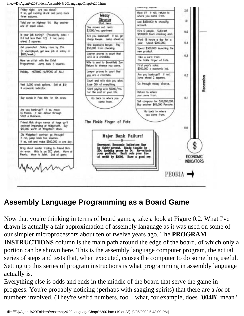

#### **Assembly Language Programming as a Board Game**

Now that you're thinking in terms of board games, take a look at Figure 0.2. What I've drawn is actually a fair approximation of assembly language as it was used on some of our simpler microprocessors about ten or twelve years ago. The **PROGRAM INSTRUCTIONS** column is the main path around the edge of the board, of which only a portion can be shown here. This is the assembly language computer program, the actual

series of steps and tests that, when executed, causes the computer to do something useful. Setting up this series of program instructions is what programming in assembly language actually is.

Everything else is odds and ends in the middle of the board that serve the game in progress. You're probably noticing (perhaps with sagging spirits) that there are a *lot* of numbers involved. (They're weird numbers, too—what, for example, does "**004B**" mean?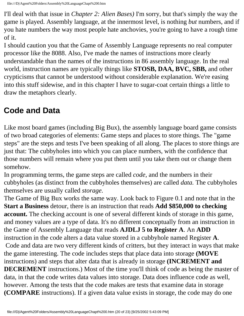I'll deal with that issue in *Chapter 2: Alien Bases)* I'm sorry, but that's simply the way the game is played. Assembly language, at the innermost level, is nothing *but* numbers, and if you hate numbers the way most people hate anchovies, you're going to have a rough time of it.

I should caution you that the Game of Assembly Language represents no real computer processor like the 8088. Also, I've made the names of instructions more clearly understandable than the names of the instructions in 86 assembly language. In the real world, instruction names are typically things like **STOSB, DAA, BVC, SBB,** and other crypticisms that cannot be understood without considerable explanation. We're easing into this stuff sidewise, and in this chapter I have to sugar-coat certain things a little to draw the metaphors clearly.

#### **Code and Data**

Like most board games (including Big Bux), the assembly language board game consists of two broad categories of elements: Game steps and places to store things. The "game steps" are the steps and tests I've been speaking of all along. The places to store things are just that: The cubbyholes into which you can place numbers, with the confidence that those numbers will remain where you put them until you take them out or change them somehow.

In programming terms, the game steps are called *code,* and the numbers in their cubbyholes (as distinct from the cubbyholes themselves) are called *data.* The cubbyholes themselves are usually called *storage.*

The Game of Big Bux works the same way. Look back to Figure 0.1 and note that in the **Start a Business** detour, there is an instruction that reads **Add \$850,000 to checking account.** The checking account is one of several different kinds of storage in this game, and money values are a type of data. It's no different conceptually from an instruction in the Game of Assembly Language that reads **AJDLJ 5 to Register A**. An **ADD**  instruction in the code alters a data value stored in a cubbyhole named Register **A**. Code and data are two very different kinds of critters, but they interact in ways that make the game interesting. The code includes steps that place data into storage **(MOVE**  instructions) and steps that alter data that is already in storage **(INCREMENT and DECREMENT** instructions.) Most of the time you'll think of code as being the master of data, in that the code writes data values into storage. Data does influence code as well, however. Among the tests that the code makes are tests that examine data in storage **(COMPARE** instructions). If a given data value exists in storage, the code may do one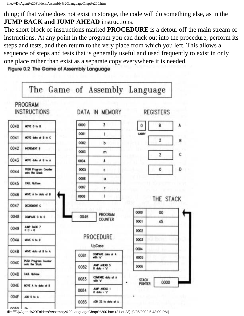thing; if that value does not exist in storage, the code will do something else, as in the **JUMP BACK and JUMP AHEAD** instructions.

The short block of instructions marked **PROCEDURE** is a detour off the main stream of instructions. At any point in the program you can duck out into the procedure, perform its steps and tests, and then return to the very place from which you left. This allows a sequence of steps and tests that is generally useful and used frequently to exist in only one place rather than exist as a separate copy everywhere it is needed.

Figure 0.2 The Game of Assembly Language

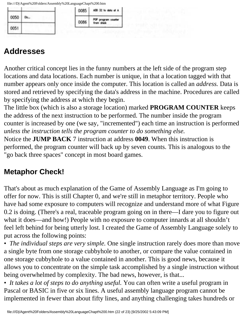|             |      | 0085                | ADD 32 to data at A |
|-------------|------|---------------------|---------------------|
|             |      |                     |                     |
| 0050<br>Ele | 0086 | POP program counter |                     |
|             |      |                     |                     |
| 0051        |      |                     |                     |

#### **Addresses**

Another critical concept lies in the funny numbers at the left side of the program step locations and data locations. Each number is unique, in that a location tagged with that number appears only once inside the computer. This location is called an *address.* Data is stored and retrieved by specifying the data's address in the machine. Procedures are called by specifying the address at which they begin.

The little box (which is also a storage location) marked **PROGRAM COUNTER** keeps the address of the next instruction to be performed. The number inside the program counter is increased by one (we say, "incremented") each time an instruction is performed *unless the instruction tells the program counter to do something else.* Notice the **JUMP BACK** 7 instruction at address **0049**. When this instruction is performed, the program counter will back up by seven counts. This is analogous to the "go back three spaces" concept in most board games.

#### **Metaphor Check!**

That's about as much explanation of the Game of Assembly Language as I'm going to offer for now. This is still Chapter 0, and we're still in metaphor territory. People who have had some exposure to computers will recognize and understand more of what Figure 0.2 is doing. (There's a real, traceable program going on in there—I dare you to figure out what it does—and how!) People with no exposure to computer innards at all shouldn't feel left behind for being utterly lost. I created the Game of Assembly Language solely to put across the following points:

• *The individual steps are very simple.* One single instruction rarely does more than move a single byte from one storage cubbyhole to another, or compare the value contained in one storage cubbyhole to a value contained in another. This is good news, because it allows you to concentrate on the simple task accomplished by a single instruction without being overwhelmed by complexity. The bad news, however, is that...

• *It takes a lot of steps to do anything useful.* You can often write a useful program in Pascal or BASIC in five or six lines. A useful assembly language program cannot be implemented in fewer than about fifty lines, and anything challenging takes hundreds or